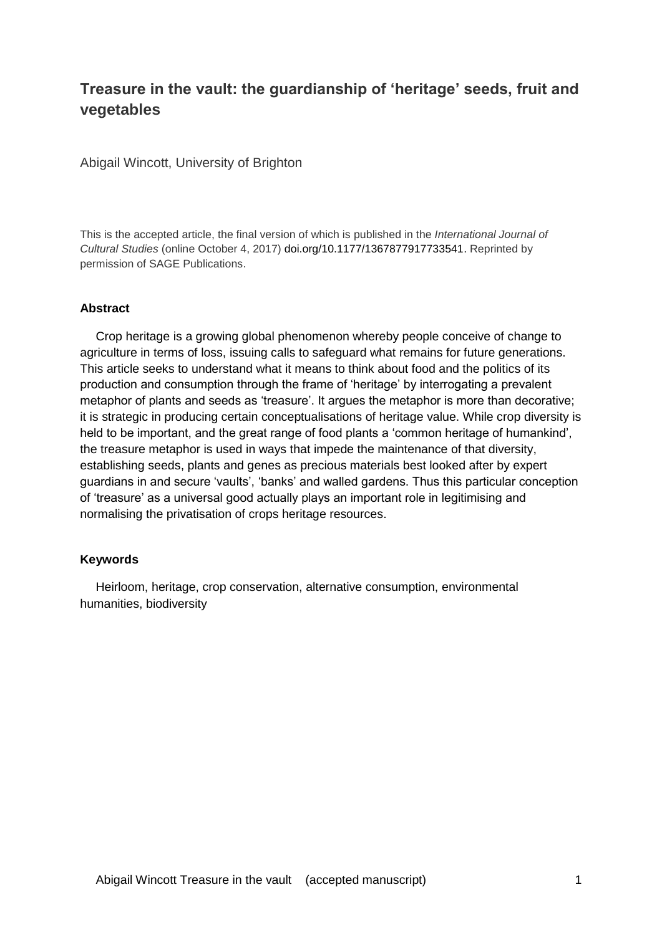# **Treasure in the vault: the guardianship of 'heritage' seeds, fruit and vegetables**

Abigail Wincott, University of Brighton

This is the accepted article, the final version of which is published in the *International Journal of Cultural Studies* (online October 4, 2017) doi.org/10.1177/1367877917733541. Reprinted by permission of SAGE Publications.

# **Abstract**

Crop heritage is a growing global phenomenon whereby people conceive of change to agriculture in terms of loss, issuing calls to safeguard what remains for future generations. This article seeks to understand what it means to think about food and the politics of its production and consumption through the frame of 'heritage' by interrogating a prevalent metaphor of plants and seeds as 'treasure'. It argues the metaphor is more than decorative; it is strategic in producing certain conceptualisations of heritage value. While crop diversity is held to be important, and the great range of food plants a 'common heritage of humankind', the treasure metaphor is used in ways that impede the maintenance of that diversity, establishing seeds, plants and genes as precious materials best looked after by expert guardians in and secure 'vaults', 'banks' and walled gardens. Thus this particular conception of 'treasure' as a universal good actually plays an important role in legitimising and normalising the privatisation of crops heritage resources.

# **Keywords**

Heirloom, heritage, crop conservation, alternative consumption, environmental humanities, biodiversity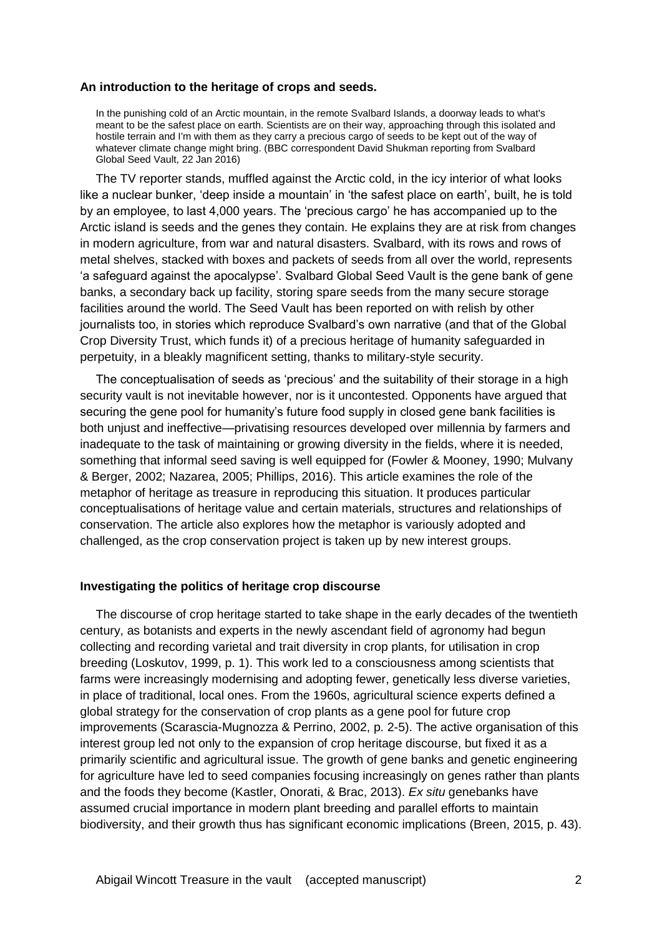#### **An introduction to the heritage of crops and seeds.**

In the punishing cold of an Arctic mountain, in the remote Svalbard Islands, a doorway leads to what's meant to be the safest place on earth. Scientists are on their way, approaching through this isolated and hostile terrain and I'm with them as they carry a precious cargo of seeds to be kept out of the way of whatever climate change might bring. (BBC correspondent David Shukman reporting from Svalbard Global Seed Vault, 22 Jan 2016)

The TV reporter stands, muffled against the Arctic cold, in the icy interior of what looks like a nuclear bunker, 'deep inside a mountain' in 'the safest place on earth', built, he is told by an employee, to last 4,000 years. The 'precious cargo' he has accompanied up to the Arctic island is seeds and the genes they contain. He explains they are at risk from changes in modern agriculture, from war and natural disasters. Svalbard, with its rows and rows of metal shelves, stacked with boxes and packets of seeds from all over the world, represents 'a safeguard against the apocalypse'. Svalbard Global Seed Vault is the gene bank of gene banks, a secondary back up facility, storing spare seeds from the many secure storage facilities around the world. The Seed Vault has been reported on with relish by other journalists too, in stories which reproduce Svalbard's own narrative (and that of the Global Crop Diversity Trust, which funds it) of a precious heritage of humanity safeguarded in perpetuity, in a bleakly magnificent setting, thanks to military-style security.

The conceptualisation of seeds as 'precious' and the suitability of their storage in a high security vault is not inevitable however, nor is it uncontested. Opponents have argued that securing the gene pool for humanity's future food supply in closed gene bank facilities is both unjust and ineffective—privatising resources developed over millennia by farmers and inadequate to the task of maintaining or growing diversity in the fields, where it is needed, something that informal seed saving is well equipped for (Fowler & Mooney, 1990; Mulvany & Berger, 2002; Nazarea, 2005; Phillips, 2016). This article examines the role of the metaphor of heritage as treasure in reproducing this situation. It produces particular conceptualisations of heritage value and certain materials, structures and relationships of conservation. The article also explores how the metaphor is variously adopted and challenged, as the crop conservation project is taken up by new interest groups.

#### **Investigating the politics of heritage crop discourse**

The discourse of crop heritage started to take shape in the early decades of the twentieth century, as botanists and experts in the newly ascendant field of agronomy had begun collecting and recording varietal and trait diversity in crop plants, for utilisation in crop breeding (Loskutov, 1999, p. 1). This work led to a consciousness among scientists that farms were increasingly modernising and adopting fewer, genetically less diverse varieties, in place of traditional, local ones. From the 1960s, agricultural science experts defined a global strategy for the conservation of crop plants as a gene pool for future crop improvements (Scarascia-Mugnozza & Perrino, 2002, p. 2-5). The active organisation of this interest group led not only to the expansion of crop heritage discourse, but fixed it as a primarily scientific and agricultural issue. The growth of gene banks and genetic engineering for agriculture have led to seed companies focusing increasingly on genes rather than plants and the foods they become (Kastler, Onorati, & Brac, 2013). *Ex situ* genebanks have assumed crucial importance in modern plant breeding and parallel efforts to maintain biodiversity, and their growth thus has significant economic implications (Breen, 2015, p. 43).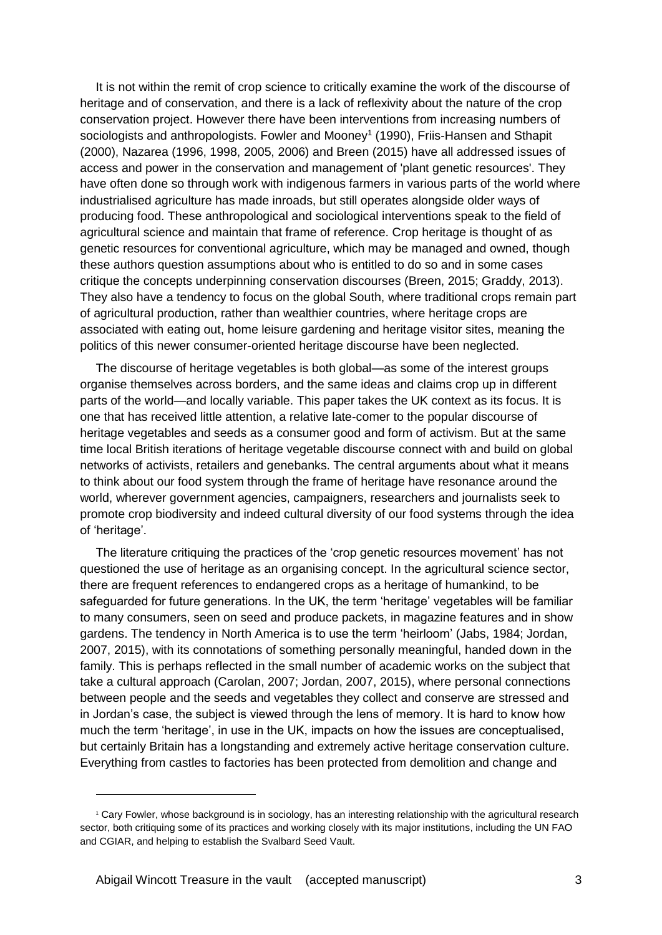It is not within the remit of crop science to critically examine the work of the discourse of heritage and of conservation, and there is a lack of reflexivity about the nature of the crop conservation project. However there have been interventions from increasing numbers of sociologists and anthropologists. Fowler and Mooney<sup>1</sup> (1990), Friis-Hansen and Sthapit (2000), Nazarea (1996, 1998, 2005, 2006) and Breen (2015) have all addressed issues of access and power in the conservation and management of 'plant genetic resources'. They have often done so through work with indigenous farmers in various parts of the world where industrialised agriculture has made inroads, but still operates alongside older ways of producing food. These anthropological and sociological interventions speak to the field of agricultural science and maintain that frame of reference. Crop heritage is thought of as genetic resources for conventional agriculture, which may be managed and owned, though these authors question assumptions about who is entitled to do so and in some cases critique the concepts underpinning conservation discourses (Breen, 2015; Graddy, 2013). They also have a tendency to focus on the global South, where traditional crops remain part of agricultural production, rather than wealthier countries, where heritage crops are associated with eating out, home leisure gardening and heritage visitor sites, meaning the politics of this newer consumer-oriented heritage discourse have been neglected.

The discourse of heritage vegetables is both global—as some of the interest groups organise themselves across borders, and the same ideas and claims crop up in different parts of the world—and locally variable. This paper takes the UK context as its focus. It is one that has received little attention, a relative late-comer to the popular discourse of heritage vegetables and seeds as a consumer good and form of activism. But at the same time local British iterations of heritage vegetable discourse connect with and build on global networks of activists, retailers and genebanks. The central arguments about what it means to think about our food system through the frame of heritage have resonance around the world, wherever government agencies, campaigners, researchers and journalists seek to promote crop biodiversity and indeed cultural diversity of our food systems through the idea of 'heritage'.

The literature critiquing the practices of the 'crop genetic resources movement' has not questioned the use of heritage as an organising concept. In the agricultural science sector, there are frequent references to endangered crops as a heritage of humankind, to be safeguarded for future generations. In the UK, the term 'heritage' vegetables will be familiar to many consumers, seen on seed and produce packets, in magazine features and in show gardens. The tendency in North America is to use the term 'heirloom' (Jabs, 1984; Jordan, 2007, 2015), with its connotations of something personally meaningful, handed down in the family. This is perhaps reflected in the small number of academic works on the subject that take a cultural approach (Carolan, 2007; Jordan, 2007, 2015), where personal connections between people and the seeds and vegetables they collect and conserve are stressed and in Jordan's case, the subject is viewed through the lens of memory. It is hard to know how much the term 'heritage', in use in the UK, impacts on how the issues are conceptualised, but certainly Britain has a longstanding and extremely active heritage conservation culture. Everything from castles to factories has been protected from demolition and change and

<sup>1</sup> Cary Fowler, whose background is in sociology, has an interesting relationship with the agricultural research sector, both critiquing some of its practices and working closely with its major institutions, including the UN FAO and CGIAR, and helping to establish the Svalbard Seed Vault.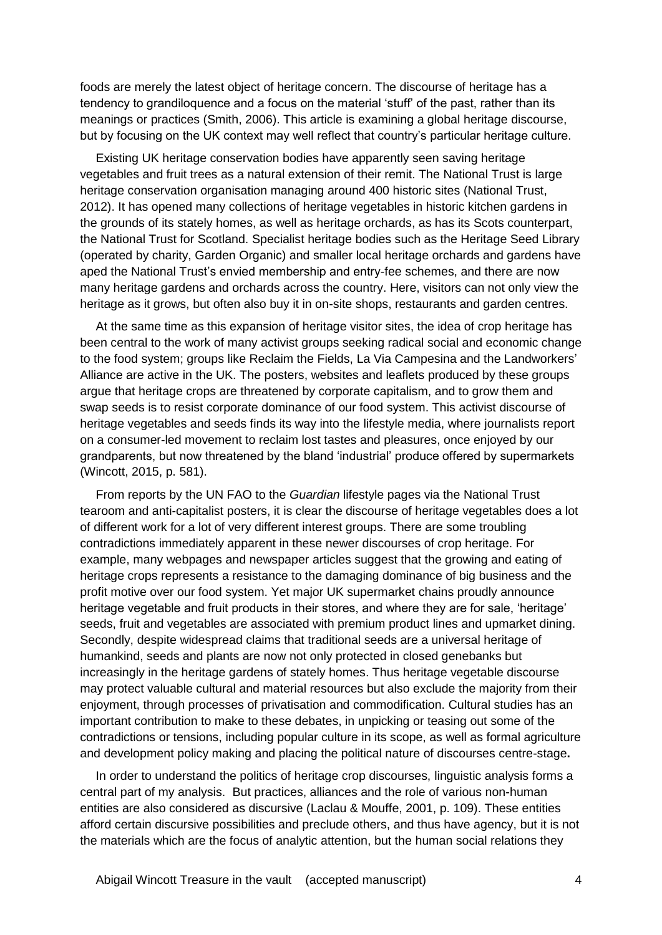foods are merely the latest object of heritage concern. The discourse of heritage has a tendency to grandiloquence and a focus on the material 'stuff' of the past, rather than its meanings or practices (Smith, 2006). This article is examining a global heritage discourse, but by focusing on the UK context may well reflect that country's particular heritage culture.

Existing UK heritage conservation bodies have apparently seen saving heritage vegetables and fruit trees as a natural extension of their remit. The National Trust is large heritage conservation organisation managing around 400 historic sites (National Trust, 2012). It has opened many collections of heritage vegetables in historic kitchen gardens in the grounds of its stately homes, as well as heritage orchards, as has its Scots counterpart, the National Trust for Scotland. Specialist heritage bodies such as the Heritage Seed Library (operated by charity, Garden Organic) and smaller local heritage orchards and gardens have aped the National Trust's envied membership and entry-fee schemes, and there are now many heritage gardens and orchards across the country. Here, visitors can not only view the heritage as it grows, but often also buy it in on-site shops, restaurants and garden centres.

At the same time as this expansion of heritage visitor sites, the idea of crop heritage has been central to the work of many activist groups seeking radical social and economic change to the food system; groups like Reclaim the Fields, La Via Campesina and the Landworkers' Alliance are active in the UK. The posters, websites and leaflets produced by these groups argue that heritage crops are threatened by corporate capitalism, and to grow them and swap seeds is to resist corporate dominance of our food system. This activist discourse of heritage vegetables and seeds finds its way into the lifestyle media, where journalists report on a consumer-led movement to reclaim lost tastes and pleasures, once enjoyed by our grandparents, but now threatened by the bland 'industrial' produce offered by supermarkets (Wincott, 2015, p. 581).

From reports by the UN FAO to the *Guardian* lifestyle pages via the National Trust tearoom and anti-capitalist posters, it is clear the discourse of heritage vegetables does a lot of different work for a lot of very different interest groups. There are some troubling contradictions immediately apparent in these newer discourses of crop heritage. For example, many webpages and newspaper articles suggest that the growing and eating of heritage crops represents a resistance to the damaging dominance of big business and the profit motive over our food system. Yet major UK supermarket chains proudly announce heritage vegetable and fruit products in their stores, and where they are for sale, 'heritage' seeds, fruit and vegetables are associated with premium product lines and upmarket dining. Secondly, despite widespread claims that traditional seeds are a universal heritage of humankind, seeds and plants are now not only protected in closed genebanks but increasingly in the heritage gardens of stately homes. Thus heritage vegetable discourse may protect valuable cultural and material resources but also exclude the majority from their enjoyment, through processes of privatisation and commodification. Cultural studies has an important contribution to make to these debates, in unpicking or teasing out some of the contradictions or tensions, including popular culture in its scope, as well as formal agriculture and development policy making and placing the political nature of discourses centre-stage**.**

In order to understand the politics of heritage crop discourses, linguistic analysis forms a central part of my analysis. But practices, alliances and the role of various non-human entities are also considered as discursive (Laclau & Mouffe, 2001, p. 109). These entities afford certain discursive possibilities and preclude others, and thus have agency, but it is not the materials which are the focus of analytic attention, but the human social relations they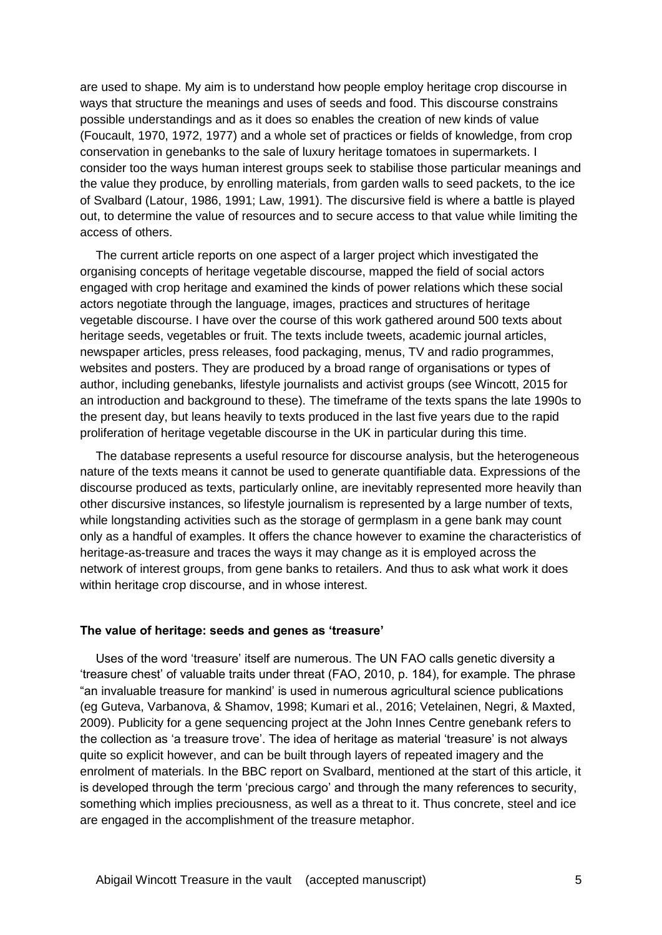are used to shape. My aim is to understand how people employ heritage crop discourse in ways that structure the meanings and uses of seeds and food. This discourse constrains possible understandings and as it does so enables the creation of new kinds of value (Foucault, 1970, 1972, 1977) and a whole set of practices or fields of knowledge, from crop conservation in genebanks to the sale of luxury heritage tomatoes in supermarkets. I consider too the ways human interest groups seek to stabilise those particular meanings and the value they produce, by enrolling materials, from garden walls to seed packets, to the ice of Svalbard (Latour, 1986, 1991; Law, 1991). The discursive field is where a battle is played out, to determine the value of resources and to secure access to that value while limiting the access of others.

The current article reports on one aspect of a larger project which investigated the organising concepts of heritage vegetable discourse, mapped the field of social actors engaged with crop heritage and examined the kinds of power relations which these social actors negotiate through the language, images, practices and structures of heritage vegetable discourse. I have over the course of this work gathered around 500 texts about heritage seeds, vegetables or fruit. The texts include tweets, academic journal articles, newspaper articles, press releases, food packaging, menus, TV and radio programmes, websites and posters. They are produced by a broad range of organisations or types of author, including genebanks, lifestyle journalists and activist groups (see Wincott, 2015 for an introduction and background to these). The timeframe of the texts spans the late 1990s to the present day, but leans heavily to texts produced in the last five years due to the rapid proliferation of heritage vegetable discourse in the UK in particular during this time.

The database represents a useful resource for discourse analysis, but the heterogeneous nature of the texts means it cannot be used to generate quantifiable data. Expressions of the discourse produced as texts, particularly online, are inevitably represented more heavily than other discursive instances, so lifestyle journalism is represented by a large number of texts, while longstanding activities such as the storage of germplasm in a gene bank may count only as a handful of examples. It offers the chance however to examine the characteristics of heritage-as-treasure and traces the ways it may change as it is employed across the network of interest groups, from gene banks to retailers. And thus to ask what work it does within heritage crop discourse, and in whose interest.

#### **The value of heritage: seeds and genes as 'treasure'**

Uses of the word 'treasure' itself are numerous. The UN FAO calls genetic diversity a 'treasure chest' of valuable traits under threat (FAO, 2010, p. 184), for example. The phrase "an invaluable treasure for mankind' is used in numerous agricultural science publications (eg Guteva, Varbanova, & Shamov, 1998; Kumari et al., 2016; Vetelainen, Negri, & Maxted, 2009). Publicity for a gene sequencing project at the John Innes Centre genebank refers to the collection as 'a treasure trove'. The idea of heritage as material 'treasure' is not always quite so explicit however, and can be built through layers of repeated imagery and the enrolment of materials. In the BBC report on Svalbard, mentioned at the start of this article, it is developed through the term 'precious cargo' and through the many references to security, something which implies preciousness, as well as a threat to it. Thus concrete, steel and ice are engaged in the accomplishment of the treasure metaphor.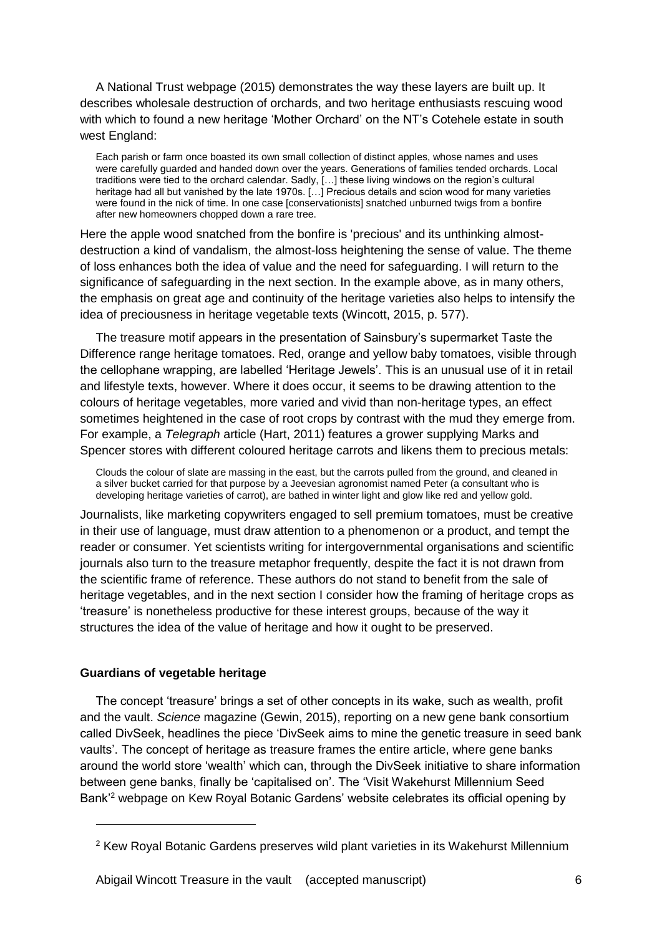A National Trust webpage (2015) demonstrates the way these layers are built up. It describes wholesale destruction of orchards, and two heritage enthusiasts rescuing wood with which to found a new heritage 'Mother Orchard' on the NT's Cotehele estate in south west England:

Each parish or farm once boasted its own small collection of distinct apples, whose names and uses were carefully guarded and handed down over the years. Generations of families tended orchards. Local traditions were tied to the orchard calendar. Sadly, […] these living windows on the region's cultural heritage had all but vanished by the late 1970s. […] Precious details and scion wood for many varieties were found in the nick of time. In one case [conservationists] snatched unburned twigs from a bonfire after new homeowners chopped down a rare tree.

Here the apple wood snatched from the bonfire is 'precious' and its unthinking almostdestruction a kind of vandalism, the almost-loss heightening the sense of value. The theme of loss enhances both the idea of value and the need for safeguarding. I will return to the significance of safeguarding in the next section. In the example above, as in many others, the emphasis on great age and continuity of the heritage varieties also helps to intensify the idea of preciousness in heritage vegetable texts (Wincott, 2015, p. 577).

The treasure motif appears in the presentation of Sainsbury's supermarket Taste the Difference range heritage tomatoes. Red, orange and yellow baby tomatoes, visible through the cellophane wrapping, are labelled 'Heritage Jewels'. This is an unusual use of it in retail and lifestyle texts, however. Where it does occur, it seems to be drawing attention to the colours of heritage vegetables, more varied and vivid than non-heritage types, an effect sometimes heightened in the case of root crops by contrast with the mud they emerge from. For example, a *Telegraph* article (Hart, 2011) features a grower supplying Marks and Spencer stores with different coloured heritage carrots and likens them to precious metals:

Clouds the colour of slate are massing in the east, but the carrots pulled from the ground, and cleaned in a silver bucket carried for that purpose by a Jeevesian agronomist named Peter (a consultant who is developing heritage varieties of carrot), are bathed in winter light and glow like red and yellow gold.

Journalists, like marketing copywriters engaged to sell premium tomatoes, must be creative in their use of language, must draw attention to a phenomenon or a product, and tempt the reader or consumer. Yet scientists writing for intergovernmental organisations and scientific journals also turn to the treasure metaphor frequently, despite the fact it is not drawn from the scientific frame of reference. These authors do not stand to benefit from the sale of heritage vegetables, and in the next section I consider how the framing of heritage crops as 'treasure' is nonetheless productive for these interest groups, because of the way it structures the idea of the value of heritage and how it ought to be preserved.

# **Guardians of vegetable heritage**

 $\overline{a}$ 

The concept 'treasure' brings a set of other concepts in its wake, such as wealth, profit and the vault. *Science* magazine (Gewin, 2015), reporting on a new gene bank consortium called DivSeek, headlines the piece 'DivSeek aims to mine the genetic treasure in seed bank vaults'. The concept of heritage as treasure frames the entire article, where gene banks around the world store 'wealth' which can, through the DivSeek initiative to share information between gene banks, finally be 'capitalised on'. The 'Visit Wakehurst Millennium Seed Bank'<sup>2</sup> webpage on Kew Royal Botanic Gardens' website celebrates its official opening by

<sup>&</sup>lt;sup>2</sup> Kew Royal Botanic Gardens preserves wild plant varieties in its Wakehurst Millennium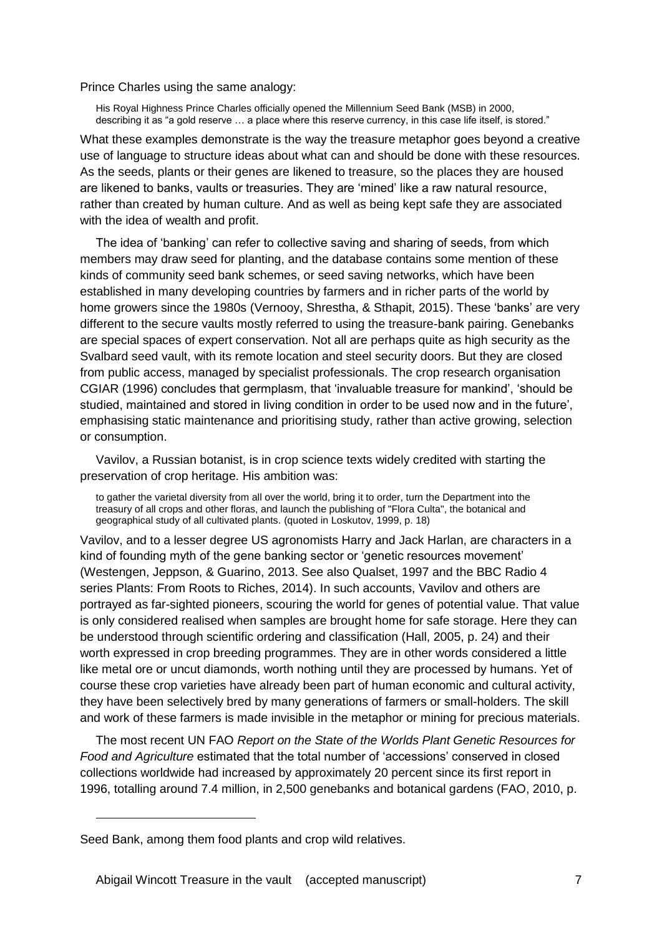Prince Charles using the same analogy:

His Royal Highness Prince Charles officially opened the Millennium Seed Bank (MSB) in 2000, describing it as "a gold reserve … a place where this reserve currency, in this case life itself, is stored."

What these examples demonstrate is the way the treasure metaphor goes beyond a creative use of language to structure ideas about what can and should be done with these resources. As the seeds, plants or their genes are likened to treasure, so the places they are housed are likened to banks, vaults or treasuries. They are 'mined' like a raw natural resource, rather than created by human culture. And as well as being kept safe they are associated with the idea of wealth and profit.

The idea of 'banking' can refer to collective saving and sharing of seeds, from which members may draw seed for planting, and the database contains some mention of these kinds of community seed bank schemes, or seed saving networks, which have been established in many developing countries by farmers and in richer parts of the world by home growers since the 1980s (Vernooy, Shrestha, & Sthapit, 2015). These 'banks' are very different to the secure vaults mostly referred to using the treasure-bank pairing. Genebanks are special spaces of expert conservation. Not all are perhaps quite as high security as the Svalbard seed vault, with its remote location and steel security doors. But they are closed from public access, managed by specialist professionals. The crop research organisation CGIAR (1996) concludes that germplasm, that 'invaluable treasure for mankind', 'should be studied, maintained and stored in living condition in order to be used now and in the future', emphasising static maintenance and prioritising study, rather than active growing, selection or consumption.

Vavilov, a Russian botanist, is in crop science texts widely credited with starting the preservation of crop heritage. His ambition was:

to gather the varietal diversity from all over the world, bring it to order, turn the Department into the treasury of all crops and other floras, and launch the publishing of "Flora Culta", the botanical and geographical study of all cultivated plants. (quoted in Loskutov, 1999, p. 18)

Vavilov, and to a lesser degree US agronomists Harry and Jack Harlan, are characters in a kind of founding myth of the gene banking sector or 'genetic resources movement' (Westengen, Jeppson, & Guarino, 2013. See also Qualset, 1997 and the BBC Radio 4 series Plants: From Roots to Riches, 2014). In such accounts, Vavilov and others are portrayed as far-sighted pioneers, scouring the world for genes of potential value. That value is only considered realised when samples are brought home for safe storage. Here they can be understood through scientific ordering and classification (Hall, 2005, p. 24) and their worth expressed in crop breeding programmes. They are in other words considered a little like metal ore or uncut diamonds, worth nothing until they are processed by humans. Yet of course these crop varieties have already been part of human economic and cultural activity, they have been selectively bred by many generations of farmers or small-holders. The skill and work of these farmers is made invisible in the metaphor or mining for precious materials.

The most recent UN FAO *Report on the State of the Worlds Plant Genetic Resources for Food and Agriculture* estimated that the total number of 'accessions' conserved in closed collections worldwide had increased by approximately 20 percent since its first report in 1996, totalling around 7.4 million, in 2,500 genebanks and botanical gardens (FAO, 2010, p.

 $\overline{a}$ 

Seed Bank, among them food plants and crop wild relatives.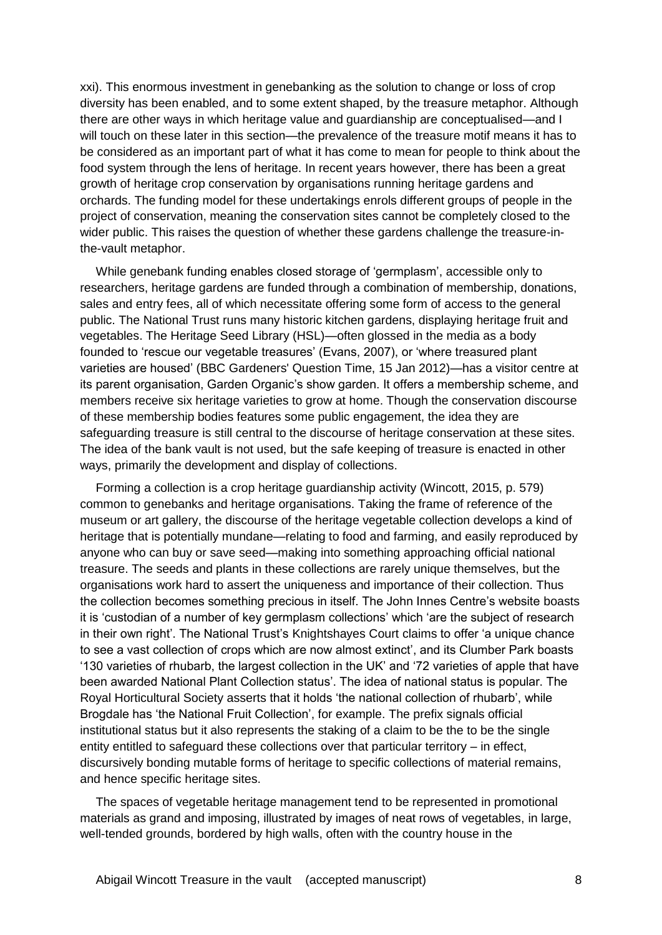xxi). This enormous investment in genebanking as the solution to change or loss of crop diversity has been enabled, and to some extent shaped, by the treasure metaphor. Although there are other ways in which heritage value and guardianship are conceptualised—and I will touch on these later in this section—the prevalence of the treasure motif means it has to be considered as an important part of what it has come to mean for people to think about the food system through the lens of heritage. In recent years however, there has been a great growth of heritage crop conservation by organisations running heritage gardens and orchards. The funding model for these undertakings enrols different groups of people in the project of conservation, meaning the conservation sites cannot be completely closed to the wider public. This raises the question of whether these gardens challenge the treasure-inthe-vault metaphor.

While genebank funding enables closed storage of 'germplasm', accessible only to researchers, heritage gardens are funded through a combination of membership, donations, sales and entry fees, all of which necessitate offering some form of access to the general public. The National Trust runs many historic kitchen gardens, displaying heritage fruit and vegetables. The Heritage Seed Library (HSL)—often glossed in the media as a body founded to 'rescue our vegetable treasures' (Evans, 2007), or 'where treasured plant varieties are housed' (BBC Gardeners' Question Time, 15 Jan 2012)—has a visitor centre at its parent organisation, Garden Organic's show garden. It offers a membership scheme, and members receive six heritage varieties to grow at home. Though the conservation discourse of these membership bodies features some public engagement, the idea they are safeguarding treasure is still central to the discourse of heritage conservation at these sites. The idea of the bank vault is not used, but the safe keeping of treasure is enacted in other ways, primarily the development and display of collections.

Forming a collection is a crop heritage guardianship activity (Wincott, 2015, p. 579) common to genebanks and heritage organisations. Taking the frame of reference of the museum or art gallery, the discourse of the heritage vegetable collection develops a kind of heritage that is potentially mundane—relating to food and farming, and easily reproduced by anyone who can buy or save seed—making into something approaching official national treasure. The seeds and plants in these collections are rarely unique themselves, but the organisations work hard to assert the uniqueness and importance of their collection. Thus the collection becomes something precious in itself. The John Innes Centre's website boasts it is 'custodian of a number of key germplasm collections' which 'are the subject of research in their own right'. The National Trust's Knightshayes Court claims to offer 'a unique chance to see a vast collection of crops which are now almost extinct', and its Clumber Park boasts '130 varieties of rhubarb, the largest collection in the UK' and '72 varieties of apple that have been awarded National Plant Collection status'. The idea of national status is popular. The Royal Horticultural Society asserts that it holds 'the national collection of rhubarb', while Brogdale has 'the National Fruit Collection', for example. The prefix signals official institutional status but it also represents the staking of a claim to be the to be the single entity entitled to safeguard these collections over that particular territory – in effect, discursively bonding mutable forms of heritage to specific collections of material remains, and hence specific heritage sites.

The spaces of vegetable heritage management tend to be represented in promotional materials as grand and imposing, illustrated by images of neat rows of vegetables, in large, well-tended grounds, bordered by high walls, often with the country house in the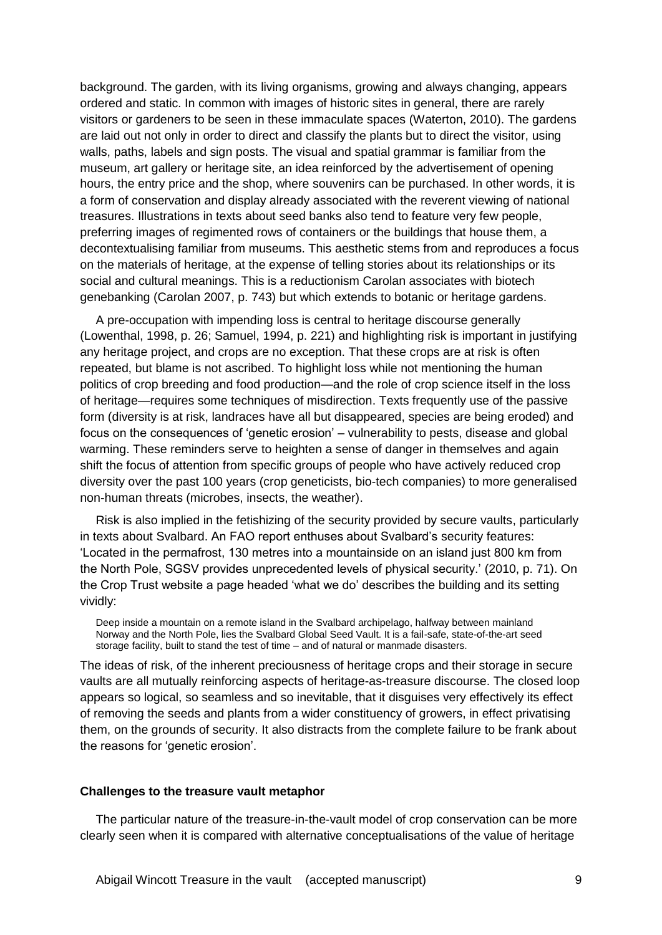background. The garden, with its living organisms, growing and always changing, appears ordered and static. In common with images of historic sites in general, there are rarely visitors or gardeners to be seen in these immaculate spaces (Waterton, 2010). The gardens are laid out not only in order to direct and classify the plants but to direct the visitor, using walls, paths, labels and sign posts. The visual and spatial grammar is familiar from the museum, art gallery or heritage site, an idea reinforced by the advertisement of opening hours, the entry price and the shop, where souvenirs can be purchased. In other words, it is a form of conservation and display already associated with the reverent viewing of national treasures. Illustrations in texts about seed banks also tend to feature very few people, preferring images of regimented rows of containers or the buildings that house them, a decontextualising familiar from museums. This aesthetic stems from and reproduces a focus on the materials of heritage, at the expense of telling stories about its relationships or its social and cultural meanings. This is a reductionism Carolan associates with biotech genebanking (Carolan 2007, p. 743) but which extends to botanic or heritage gardens.

A pre-occupation with impending loss is central to heritage discourse generally (Lowenthal, 1998, p. 26; Samuel, 1994, p. 221) and highlighting risk is important in justifying any heritage project, and crops are no exception. That these crops are at risk is often repeated, but blame is not ascribed. To highlight loss while not mentioning the human politics of crop breeding and food production—and the role of crop science itself in the loss of heritage—requires some techniques of misdirection. Texts frequently use of the passive form (diversity is at risk, landraces have all but disappeared, species are being eroded) and focus on the consequences of 'genetic erosion' – vulnerability to pests, disease and global warming. These reminders serve to heighten a sense of danger in themselves and again shift the focus of attention from specific groups of people who have actively reduced crop diversity over the past 100 years (crop geneticists, bio-tech companies) to more generalised non-human threats (microbes, insects, the weather).

Risk is also implied in the fetishizing of the security provided by secure vaults, particularly in texts about Svalbard. An FAO report enthuses about Svalbard's security features: 'Located in the permafrost, 130 metres into a mountainside on an island just 800 km from the North Pole, SGSV provides unprecedented levels of physical security.' (2010, p. 71). On the Crop Trust website a page headed 'what we do' describes the building and its setting vividly:

Deep inside a mountain on a remote island in the Svalbard archipelago, halfway between mainland Norway and the North Pole, lies the Svalbard Global Seed Vault. It is a fail-safe, state-of-the-art seed storage facility, built to stand the test of time – and of natural or manmade disasters.

The ideas of risk, of the inherent preciousness of heritage crops and their storage in secure vaults are all mutually reinforcing aspects of heritage-as-treasure discourse. The closed loop appears so logical, so seamless and so inevitable, that it disguises very effectively its effect of removing the seeds and plants from a wider constituency of growers, in effect privatising them, on the grounds of security. It also distracts from the complete failure to be frank about the reasons for 'genetic erosion'.

#### **Challenges to the treasure vault metaphor**

The particular nature of the treasure-in-the-vault model of crop conservation can be more clearly seen when it is compared with alternative conceptualisations of the value of heritage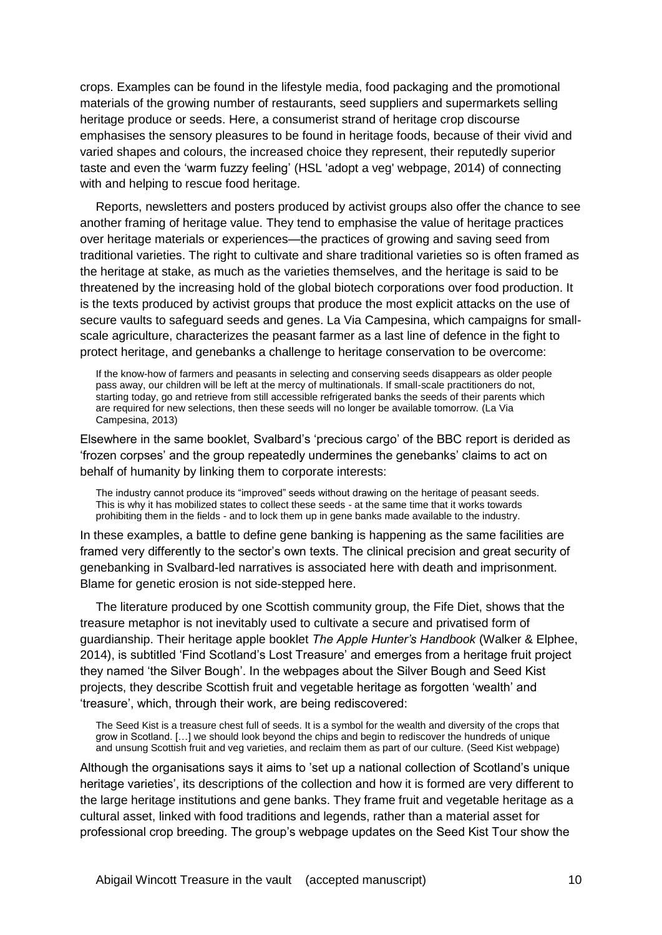crops. Examples can be found in the lifestyle media, food packaging and the promotional materials of the growing number of restaurants, seed suppliers and supermarkets selling heritage produce or seeds. Here, a consumerist strand of heritage crop discourse emphasises the sensory pleasures to be found in heritage foods, because of their vivid and varied shapes and colours, the increased choice they represent, their reputedly superior taste and even the 'warm fuzzy feeling' (HSL 'adopt a veg' webpage, 2014) of connecting with and helping to rescue food heritage.

Reports, newsletters and posters produced by activist groups also offer the chance to see another framing of heritage value. They tend to emphasise the value of heritage practices over heritage materials or experiences—the practices of growing and saving seed from traditional varieties. The right to cultivate and share traditional varieties so is often framed as the heritage at stake, as much as the varieties themselves, and the heritage is said to be threatened by the increasing hold of the global biotech corporations over food production. It is the texts produced by activist groups that produce the most explicit attacks on the use of secure vaults to safeguard seeds and genes. La Via Campesina, which campaigns for smallscale agriculture, characterizes the peasant farmer as a last line of defence in the fight to protect heritage, and genebanks a challenge to heritage conservation to be overcome:

If the know-how of farmers and peasants in selecting and conserving seeds disappears as older people pass away, our children will be left at the mercy of multinationals. If small-scale practitioners do not, starting today, go and retrieve from still accessible refrigerated banks the seeds of their parents which are required for new selections, then these seeds will no longer be available tomorrow. (La Via Campesina, 2013)

Elsewhere in the same booklet, Svalbard's 'precious cargo' of the BBC report is derided as 'frozen corpses' and the group repeatedly undermines the genebanks' claims to act on behalf of humanity by linking them to corporate interests:

The industry cannot produce its "improved" seeds without drawing on the heritage of peasant seeds. This is why it has mobilized states to collect these seeds - at the same time that it works towards prohibiting them in the fields - and to lock them up in gene banks made available to the industry.

In these examples, a battle to define gene banking is happening as the same facilities are framed very differently to the sector's own texts. The clinical precision and great security of genebanking in Svalbard-led narratives is associated here with death and imprisonment. Blame for genetic erosion is not side-stepped here.

The literature produced by one Scottish community group, the Fife Diet, shows that the treasure metaphor is not inevitably used to cultivate a secure and privatised form of guardianship. Their heritage apple booklet *The Apple Hunter's Handbook* (Walker & Elphee, 2014), is subtitled 'Find Scotland's Lost Treasure' and emerges from a heritage fruit project they named 'the Silver Bough'. In the webpages about the Silver Bough and Seed Kist projects, they describe Scottish fruit and vegetable heritage as forgotten 'wealth' and 'treasure', which, through their work, are being rediscovered:

The Seed Kist is a treasure chest full of seeds. It is a symbol for the wealth and diversity of the crops that grow in Scotland. […] we should look beyond the chips and begin to rediscover the hundreds of unique and unsung Scottish fruit and veg varieties, and reclaim them as part of our culture. (Seed Kist webpage)

Although the organisations says it aims to 'set up a national collection of Scotland's unique heritage varieties', its descriptions of the collection and how it is formed are very different to the large heritage institutions and gene banks. They frame fruit and vegetable heritage as a cultural asset, linked with food traditions and legends, rather than a material asset for professional crop breeding. The group's webpage updates on the Seed Kist Tour show the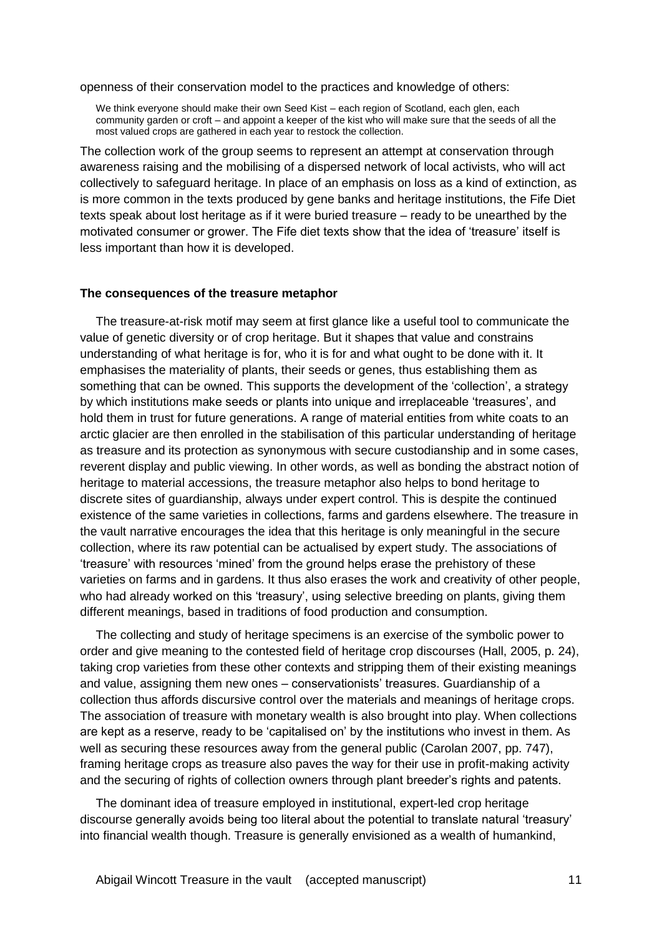openness of their conservation model to the practices and knowledge of others:

We think everyone should make their own Seed Kist – each region of Scotland, each glen, each community garden or croft – and appoint a keeper of the kist who will make sure that the seeds of all the most valued crops are gathered in each year to restock the collection.

The collection work of the group seems to represent an attempt at conservation through awareness raising and the mobilising of a dispersed network of local activists, who will act collectively to safeguard heritage. In place of an emphasis on loss as a kind of extinction, as is more common in the texts produced by gene banks and heritage institutions, the Fife Diet texts speak about lost heritage as if it were buried treasure – ready to be unearthed by the motivated consumer or grower. The Fife diet texts show that the idea of 'treasure' itself is less important than how it is developed.

# **The consequences of the treasure metaphor**

The treasure-at-risk motif may seem at first glance like a useful tool to communicate the value of genetic diversity or of crop heritage. But it shapes that value and constrains understanding of what heritage is for, who it is for and what ought to be done with it. It emphasises the materiality of plants, their seeds or genes, thus establishing them as something that can be owned. This supports the development of the 'collection', a strategy by which institutions make seeds or plants into unique and irreplaceable 'treasures', and hold them in trust for future generations. A range of material entities from white coats to an arctic glacier are then enrolled in the stabilisation of this particular understanding of heritage as treasure and its protection as synonymous with secure custodianship and in some cases, reverent display and public viewing. In other words, as well as bonding the abstract notion of heritage to material accessions, the treasure metaphor also helps to bond heritage to discrete sites of guardianship, always under expert control. This is despite the continued existence of the same varieties in collections, farms and gardens elsewhere. The treasure in the vault narrative encourages the idea that this heritage is only meaningful in the secure collection, where its raw potential can be actualised by expert study. The associations of 'treasure' with resources 'mined' from the ground helps erase the prehistory of these varieties on farms and in gardens. It thus also erases the work and creativity of other people, who had already worked on this 'treasury', using selective breeding on plants, giving them different meanings, based in traditions of food production and consumption.

The collecting and study of heritage specimens is an exercise of the symbolic power to order and give meaning to the contested field of heritage crop discourses (Hall, 2005, p. 24), taking crop varieties from these other contexts and stripping them of their existing meanings and value, assigning them new ones – conservationists' treasures. Guardianship of a collection thus affords discursive control over the materials and meanings of heritage crops. The association of treasure with monetary wealth is also brought into play. When collections are kept as a reserve, ready to be 'capitalised on' by the institutions who invest in them. As well as securing these resources away from the general public (Carolan 2007, pp. 747), framing heritage crops as treasure also paves the way for their use in profit-making activity and the securing of rights of collection owners through plant breeder's rights and patents.

The dominant idea of treasure employed in institutional, expert-led crop heritage discourse generally avoids being too literal about the potential to translate natural 'treasury' into financial wealth though. Treasure is generally envisioned as a wealth of humankind,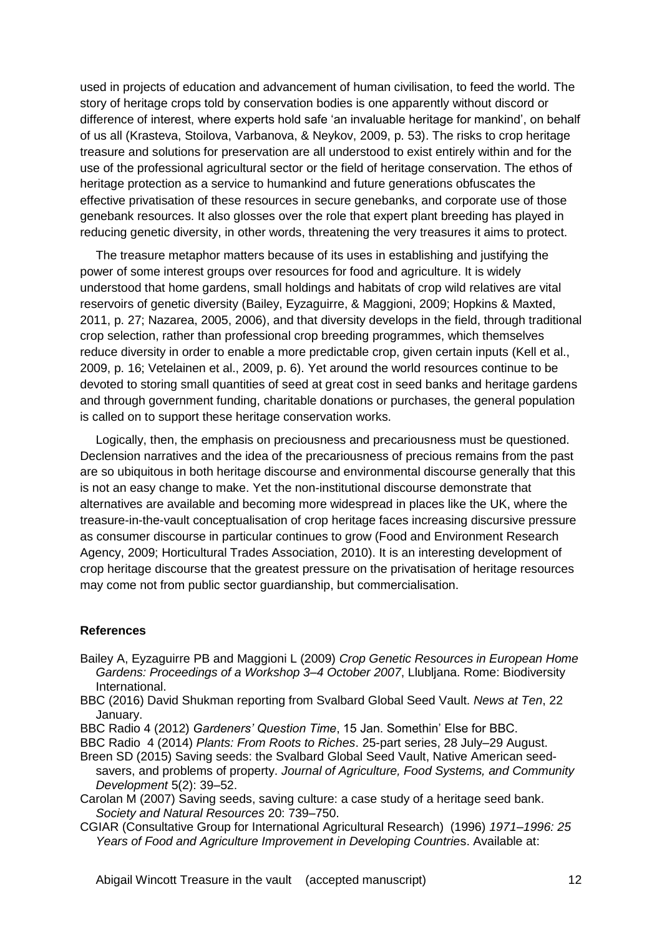used in projects of education and advancement of human civilisation, to feed the world. The story of heritage crops told by conservation bodies is one apparently without discord or difference of interest, where experts hold safe 'an invaluable heritage for mankind', on behalf of us all (Krasteva, Stoilova, Varbanova, & Neykov, 2009, p. 53). The risks to crop heritage treasure and solutions for preservation are all understood to exist entirely within and for the use of the professional agricultural sector or the field of heritage conservation. The ethos of heritage protection as a service to humankind and future generations obfuscates the effective privatisation of these resources in secure genebanks, and corporate use of those genebank resources. It also glosses over the role that expert plant breeding has played in reducing genetic diversity, in other words, threatening the very treasures it aims to protect.

The treasure metaphor matters because of its uses in establishing and justifying the power of some interest groups over resources for food and agriculture. It is widely understood that home gardens, small holdings and habitats of crop wild relatives are vital reservoirs of genetic diversity (Bailey, Eyzaguirre, & Maggioni, 2009; Hopkins & Maxted, 2011, p. 27; Nazarea, 2005, 2006), and that diversity develops in the field, through traditional crop selection, rather than professional crop breeding programmes, which themselves reduce diversity in order to enable a more predictable crop, given certain inputs (Kell et al., 2009, p. 16; Vetelainen et al., 2009, p. 6). Yet around the world resources continue to be devoted to storing small quantities of seed at great cost in seed banks and heritage gardens and through government funding, charitable donations or purchases, the general population is called on to support these heritage conservation works.

Logically, then, the emphasis on preciousness and precariousness must be questioned. Declension narratives and the idea of the precariousness of precious remains from the past are so ubiquitous in both heritage discourse and environmental discourse generally that this is not an easy change to make. Yet the non-institutional discourse demonstrate that alternatives are available and becoming more widespread in places like the UK, where the treasure-in-the-vault conceptualisation of crop heritage faces increasing discursive pressure as consumer discourse in particular continues to grow (Food and Environment Research Agency, 2009; Horticultural Trades Association, 2010). It is an interesting development of crop heritage discourse that the greatest pressure on the privatisation of heritage resources may come not from public sector guardianship, but commercialisation.

# **References**

- Bailey A, Eyzaguirre PB and Maggioni L (2009) *Crop Genetic Resources in European Home Gardens: Proceedings of a Workshop 3–4 October 2007*, Llubljana. Rome: Biodiversity International.
- BBC (2016) David Shukman reporting from Svalbard Global Seed Vault. *News at Ten*, 22 January.
- BBC Radio 4 (2012) *Gardeners' Question Time*, 15 Jan. Somethin' Else for BBC.
- BBC Radio 4 (2014) *Plants: From Roots to Riches*. 25-part series, 28 July–29 August.
- Breen SD (2015) Saving seeds: the Svalbard Global Seed Vault, Native American seedsavers, and problems of property. *Journal of Agriculture, Food Systems, and Community Development* 5(2): 39–52.
- Carolan M (2007) Saving seeds, saving culture: a case study of a heritage seed bank. *Society and Natural Resources* 20: 739–750.
- CGIAR (Consultative Group for International Agricultural Research) (1996) *1971–1996: 25 Years of Food and Agriculture Improvement in Developing Countrie*s. Available at: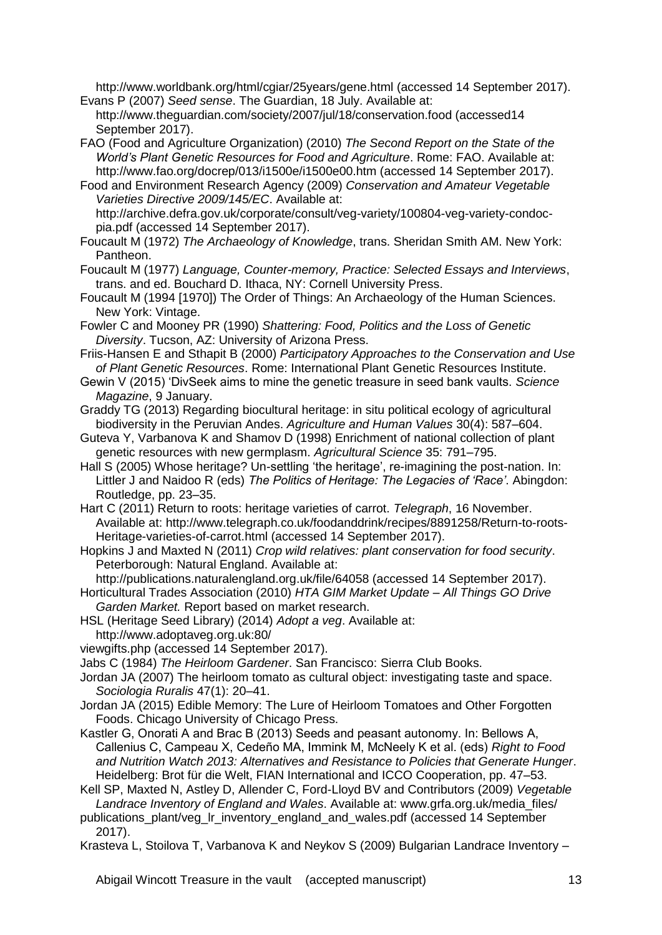http://www.worldbank.org/html/cgiar/25years/gene.html (accessed 14 September 2017). Evans P (2007) *Seed sense*. The Guardian, 18 July. Available at:

http://www.theguardian.com/society/2007/jul/18/conservation.food (accessed14 September 2017).

- FAO (Food and Agriculture Organization) (2010) *The Second Report on the State of the World's Plant Genetic Resources for Food and Agriculture*. Rome: FAO. Available at: http://www.fao.org/docrep/013/i1500e/i1500e00.htm (accessed 14 September 2017).
- Food and Environment Research Agency (2009) *Conservation and Amateur Vegetable Varieties Directive 2009/145/EC*. Available at: http://archive.defra.gov.uk/corporate/consult/veg-variety/100804-veg-variety-condoc-
- pia.pdf (accessed 14 September 2017).
- Foucault M (1972) *The Archaeology of Knowledge*, trans. Sheridan Smith AM. New York: Pantheon.
- Foucault M (1977) *Language, Counter-memory, Practice: Selected Essays and Interviews*, trans. and ed. Bouchard D. Ithaca, NY: Cornell University Press.
- Foucault M (1994 [1970]) The Order of Things: An Archaeology of the Human Sciences. New York: Vintage.
- Fowler C and Mooney PR (1990) *Shattering: Food, Politics and the Loss of Genetic Diversity*. Tucson, AZ: University of Arizona Press.
- Friis-Hansen E and Sthapit B (2000) *Participatory Approaches to the Conservation and Use of Plant Genetic Resources*. Rome: International Plant Genetic Resources Institute.
- Gewin V (2015) 'DivSeek aims to mine the genetic treasure in seed bank vaults. *Science Magazine*, 9 January.
- Graddy TG (2013) Regarding biocultural heritage: in situ political ecology of agricultural biodiversity in the Peruvian Andes. *Agriculture and Human Values* 30(4): 587–604.
- Guteva Y, Varbanova K and Shamov D (1998) Enrichment of national collection of plant genetic resources with new germplasm. *Agricultural Science* 35: 791–795.
- Hall S (2005) Whose heritage? Un-settling 'the heritage', re-imagining the post-nation. In: Littler J and Naidoo R (eds) *The Politics of Heritage: The Legacies of 'Race'*. Abingdon: Routledge, pp. 23–35.
- Hart C (2011) Return to roots: heritage varieties of carrot. *Telegraph*, 16 November. Available at: http://www.telegraph.co.uk/foodanddrink/recipes/8891258/Return-to-roots-Heritage-varieties-of-carrot.html (accessed 14 September 2017).
- Hopkins J and Maxted N (2011) *Crop wild relatives: plant conservation for food security*. Peterborough: Natural England. Available at:
- http://publications.naturalengland.org.uk/file/64058 (accessed 14 September 2017).
- Horticultural Trades Association (2010) *HTA GIM Market Update – All Things GO Drive Garden Market.* Report based on market research.
- HSL (Heritage Seed Library) (2014) *Adopt a veg*. Available at: http://www.adoptaveg.org.uk:80/
- viewgifts.php (accessed 14 September 2017).
- Jabs C (1984) *The Heirloom Gardener*. San Francisco: Sierra Club Books.
- Jordan JA (2007) The heirloom tomato as cultural object: investigating taste and space. *Sociologia Ruralis* 47(1): 20–41.
- Jordan JA (2015) Edible Memory: The Lure of Heirloom Tomatoes and Other Forgotten Foods. Chicago University of Chicago Press.
- Kastler G, Onorati A and Brac B (2013) Seeds and peasant autonomy. In: Bellows A, Callenius C, Campeau X, Cedeño MA, Immink M, McNeely K et al. (eds) *Right to Food and Nutrition Watch 2013: Alternatives and Resistance to Policies that Generate Hunger*. Heidelberg: Brot für die Welt, FIAN International and ICCO Cooperation, pp. 47–53.
- Kell SP, Maxted N, Astley D, Allender C, Ford-Lloyd BV and Contributors (2009) *Vegetable Landrace Inventory of England and Wales*. Available at: www.grfa.org.uk/media\_files/
- publications\_plant/veg\_lr\_inventory\_england\_and\_wales.pdf (accessed 14 September 2017).
- Krasteva L, Stoilova T, Varbanova K and Neykov S (2009) Bulgarian Landrace Inventory –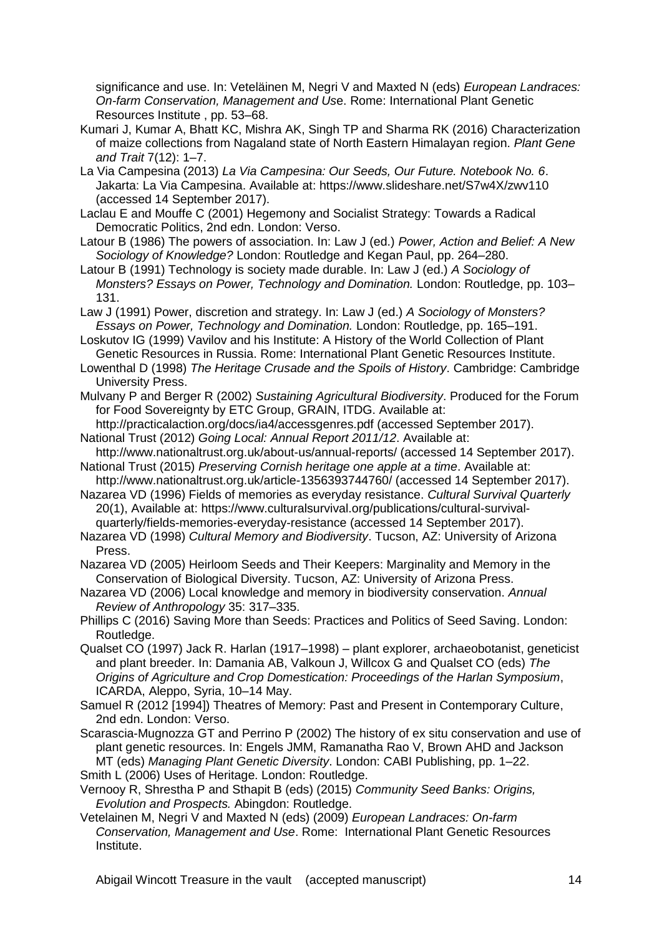significance and use. In: Veteläinen M, Negri V and Maxted N (eds) *European Landraces: On-farm Conservation, Management and Us*e. Rome: International Plant Genetic Resources Institute , pp. 53–68.

- Kumari J, Kumar A, Bhatt KC, Mishra AK, Singh TP and Sharma RK (2016) Characterization of maize collections from Nagaland state of North Eastern Himalayan region. *Plant Gene and Trait* 7(12): 1–7.
- La Via Campesina (2013) *La Via Campesina: Our Seeds, Our Future. Notebook No. 6*. Jakarta: La Via Campesina. Available at: https://www.slideshare.net/S7w4X/zwv110 (accessed 14 September 2017).
- Laclau E and Mouffe C (2001) Hegemony and Socialist Strategy: Towards a Radical Democratic Politics, 2nd edn. London: Verso.
- Latour B (1986) The powers of association. In: Law J (ed.) *Power, Action and Belief: A New Sociology of Knowledge?* London: Routledge and Kegan Paul, pp. 264–280.
- Latour B (1991) Technology is society made durable. In: Law J (ed.) *A Sociology of Monsters? Essays on Power, Technology and Domination.* London: Routledge, pp. 103– 131.
- Law J (1991) Power, discretion and strategy. In: Law J (ed.) *A Sociology of Monsters? Essays on Power, Technology and Domination.* London: Routledge, pp. 165–191.
- Loskutov IG (1999) Vavilov and his Institute: A History of the World Collection of Plant Genetic Resources in Russia. Rome: International Plant Genetic Resources Institute.
- Lowenthal D (1998) *The Heritage Crusade and the Spoils of History*. Cambridge: Cambridge University Press.
- Mulvany P and Berger R (2002) *Sustaining Agricultural Biodiversity*. Produced for the Forum for Food Sovereignty by ETC Group, GRAIN, ITDG. Available at:

http://practicalaction.org/docs/ia4/accessgenres.pdf (accessed September 2017). National Trust (2012) *Going Local: Annual Report 2011/12*. Available at:

- http://www.nationaltrust.org.uk/about-us/annual-reports/ (accessed 14 September 2017). National Trust (2015) *Preserving Cornish heritage one apple at a time*. Available at:
- http://www.nationaltrust.org.uk/article-1356393744760/ (accessed 14 September 2017). Nazarea VD (1996) Fields of memories as everyday resistance. *Cultural Survival Quarterly* 20(1), Available at: https://www.culturalsurvival.org/publications/cultural-survival
	- quarterly/fields-memories-everyday-resistance (accessed 14 September 2017).
- Nazarea VD (1998) *Cultural Memory and Biodiversity*. Tucson, AZ: University of Arizona Press.

Nazarea VD (2005) Heirloom Seeds and Their Keepers: Marginality and Memory in the Conservation of Biological Diversity. Tucson, AZ: University of Arizona Press.

- Nazarea VD (2006) Local knowledge and memory in biodiversity conservation. *Annual Review of Anthropology* 35: 317–335.
- Phillips C (2016) Saving More than Seeds: Practices and Politics of Seed Saving. London: Routledge.
- Qualset CO (1997) Jack R. Harlan (1917–1998) plant explorer, archaeobotanist, geneticist and plant breeder. In: Damania AB, Valkoun J, Willcox G and Qualset CO (eds) *The Origins of Agriculture and Crop Domestication: Proceedings of the Harlan Symposium*, ICARDA, Aleppo, Syria, 10–14 May.
- Samuel R (2012 [1994]) Theatres of Memory: Past and Present in Contemporary Culture, 2nd edn. London: Verso.
- Scarascia-Mugnozza GT and Perrino P (2002) The history of ex situ conservation and use of plant genetic resources. In: Engels JMM, Ramanatha Rao V, Brown AHD and Jackson MT (eds) *Managing Plant Genetic Diversity*. London: CABI Publishing, pp. 1–22.
- Smith L (2006) Uses of Heritage. London: Routledge.
- Vernooy R, Shrestha P and Sthapit B (eds) (2015) *Community Seed Banks: Origins, Evolution and Prospects.* Abingdon: Routledge.
- Vetelainen M, Negri V and Maxted N (eds) (2009) *European Landraces: On-farm Conservation, Management and Use*. Rome: International Plant Genetic Resources Institute.